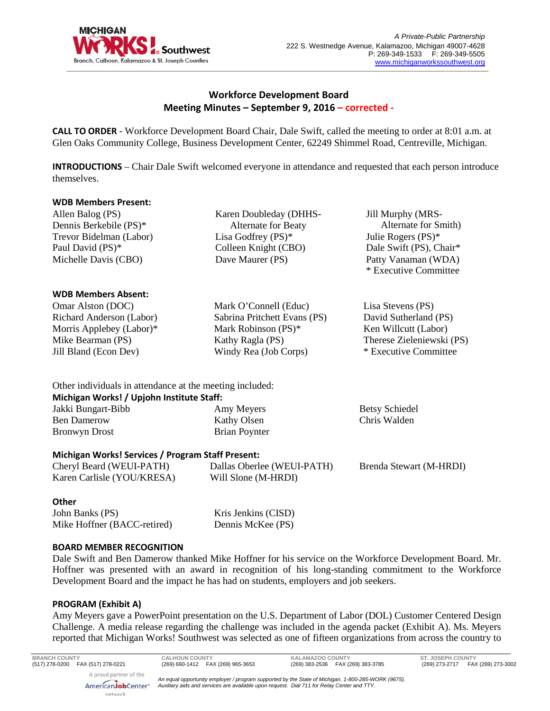

# **Workforce Development Board Meeting Minutes – September 9, 2016 – corrected -**

**CALL TO ORDER** - Workforce Development Board Chair, Dale Swift, called the meeting to order at 8:01 a.m. at Glen Oaks Community College, Business Development Center, 62249 Shimmel Road, Centreville, Michigan.

**INTRODUCTIONS** – Chair Dale Swift welcomed everyone in attendance and requested that each person introduce themselves.

### **WDB Members Present:**

Allen Balog (PS) Dennis Berkebile (PS)\* Trevor Bidelman (Labor) Paul David (PS)\* Michelle Davis (CBO)

### **WDB Members Absent:**

Omar Alston (DOC) Richard Anderson (Labor) Morris Applebey (Labor)\* Mike Bearman (PS) Jill Bland (Econ Dev)

Karen Doubleday (DHHS- Alternate for Beaty Lisa Godfrey (PS)\* Colleen Knight (CBO) Dave Maurer (PS)

Mark O'Connell (Educ) Sabrina Pritchett Evans (PS) Mark Robinson (PS)\* Kathy Ragla (PS) Windy Rea (Job Corps)

Jill Murphy (MRS- Alternate for Smith) Julie Rogers (PS)\* Dale Swift (PS), Chair\* Patty Vanaman (WDA) \* Executive Committee

Lisa Stevens (PS) David Sutherland (PS) Ken Willcutt (Labor) Therese Zieleniewski (PS) \* Executive Committee

Betsy Schiedel Chris Walden

Other individuals in attendance at the meeting included: **Michigan Works! / Upjohn Institute Staff:** Jakki Bungart-Bibb Ben Damerow Bronwyn Drost Amy Meyers Kathy Olsen Brian Poynter

### **Michigan Works! Services / Program Staff Present:**

| Cheryl Beard (WEUI-PATH)   | Dallas Oberlee (WEUI-PATH) | Brenda Stewart (M-HRDI) |
|----------------------------|----------------------------|-------------------------|
| Karen Carlisle (YOU/KRESA) | Will Slone (M-HRDI)        |                         |

### **Other**

John Banks (PS) Mike Hoffner (BACC-retired) Kris Jenkins (CISD) Dennis McKee (PS)

### **BOARD MEMBER RECOGNITION**

Dale Swift and Ben Damerow thanked Mike Hoffner for his service on the Workforce Development Board. Mr. Hoffner was presented with an award in recognition of his long-standing commitment to the Workforce Development Board and the impact he has had on students, employers and job seekers.

### **PROGRAM (Exhibit A)**

Amy Meyers gave a PowerPoint presentation on the U.S. Department of Labor (DOL) Customer Centered Design Challenge. A media release regarding the challenge was included in the agenda packet (Exhibit A). Ms. Meyers reported that Michigan Works! Southwest was selected as one of fifteen organizations from across the country to

**BRANCH COUNTY CALHOUN COUNTY KALAMAZOO COUNTY ST. JOSEPH COUNTY** (517) 278-0200 FAX (517) 278-0221 (269) 660-1412 FAX (269) 965-3653 (269) 383-2536 FAX (269) 383-3785 (269) 273-2717 FAX (269) 273-3002 A proud partner of the

AmericanJobCenter\* network

*An equal opportunity employer / program supported by the State of Michigan. 1-800-285-WORK (9675). Auxiliary aids and services are available upon request. Dial 711 for Relay Center and TTY.*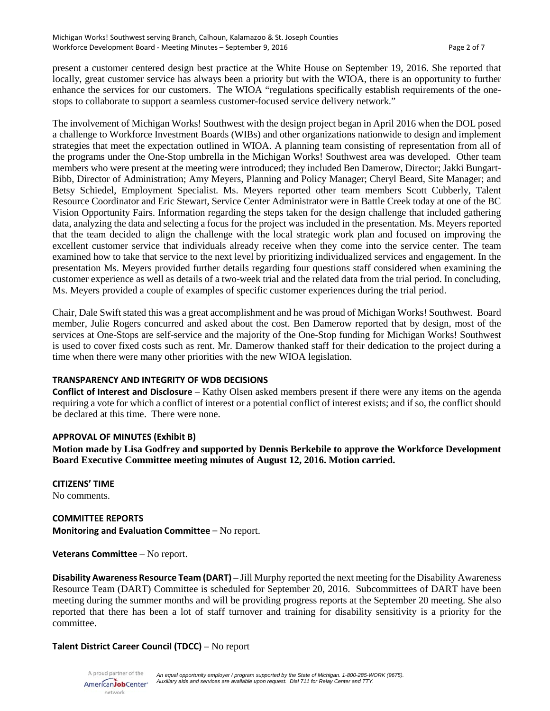present a customer centered design best practice at the White House on September 19, 2016. She reported that locally, great customer service has always been a priority but with the WIOA, there is an opportunity to further enhance the services for our customers. The WIOA "regulations specifically establish requirements of the onestops to collaborate to support a seamless customer-focused service delivery network."

The involvement of Michigan Works! Southwest with the design project began in April 2016 when the DOL posed a challenge to Workforce Investment Boards (WIBs) and other organizations nationwide to design and implement strategies that meet the expectation outlined in WIOA. A planning team consisting of representation from all of the programs under the One-Stop umbrella in the Michigan Works! Southwest area was developed. Other team members who were present at the meeting were introduced; they included Ben Damerow, Director; Jakki Bungart-Bibb, Director of Administration; Amy Meyers, Planning and Policy Manager; Cheryl Beard, Site Manager; and Betsy Schiedel, Employment Specialist. Ms. Meyers reported other team members Scott Cubberly, Talent Resource Coordinator and Eric Stewart, Service Center Administrator were in Battle Creek today at one of the BC Vision Opportunity Fairs. Information regarding the steps taken for the design challenge that included gathering data, analyzing the data and selecting a focus for the project was included in the presentation. Ms. Meyers reported that the team decided to align the challenge with the local strategic work plan and focused on improving the excellent customer service that individuals already receive when they come into the service center. The team examined how to take that service to the next level by prioritizing individualized services and engagement. In the presentation Ms. Meyers provided further details regarding four questions staff considered when examining the customer experience as well as details of a two-week trial and the related data from the trial period. In concluding, Ms. Meyers provided a couple of examples of specific customer experiences during the trial period.

Chair, Dale Swift stated this was a great accomplishment and he was proud of Michigan Works! Southwest. Board member, Julie Rogers concurred and asked about the cost. Ben Damerow reported that by design, most of the services at One-Stops are self-service and the majority of the One-Stop funding for Michigan Works! Southwest is used to cover fixed costs such as rent. Mr. Damerow thanked staff for their dedication to the project during a time when there were many other priorities with the new WIOA legislation.

### **TRANSPARENCY AND INTEGRITY OF WDB DECISIONS**

**Conflict of Interest and Disclosure** – Kathy Olsen asked members present if there were any items on the agenda requiring a vote for which a conflict of interest or a potential conflict of interest exists; and if so, the conflict should be declared at this time. There were none.

### **APPROVAL OF MINUTES (Exhibit B)**

**Motion made by Lisa Godfrey and supported by Dennis Berkebile to approve the Workforce Development Board Executive Committee meeting minutes of August 12, 2016. Motion carried.**

**CITIZENS' TIME** No comments.

**COMMITTEE REPORTS Monitoring and Evaluation Committee** – No report.

**Veterans Committee** – No report.

**Disability Awareness Resource Team (DART)** – Jill Murphy reported the next meeting for the Disability Awareness Resource Team (DART) Committee is scheduled for September 20, 2016. Subcommittees of DART have been meeting during the summer months and will be providing progress reports at the September 20 meeting. She also reported that there has been a lot of staff turnover and training for disability sensitivity is a priority for the committee.

### **Talent District Career Council (TDCC)** – No report

A proud partner of the *An equal opportunity employer / program supported by the State of Michigan. 1-800-285-WORK (9675). Auxiliary aids and services are available upon request. Dial 711 for Relay Center and TTY.* AmericanJobCenter\* network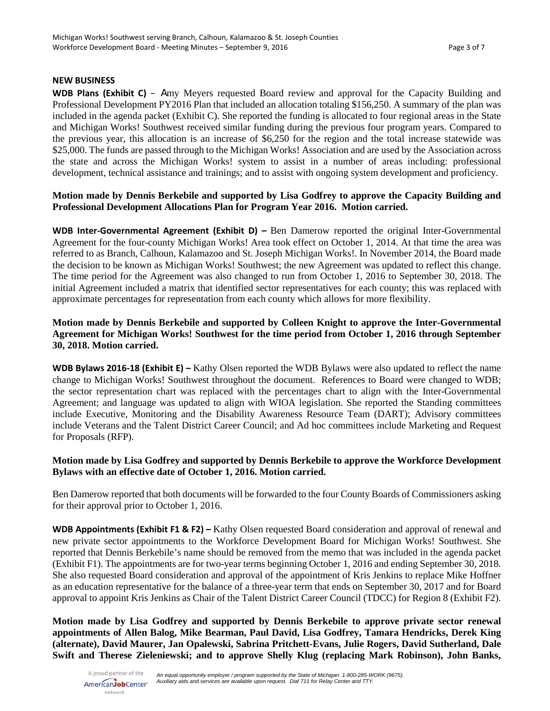### **NEW BUSINESS**

**WDB Plans (Exhibit C)** – Amy Meyers requested Board review and approval for the Capacity Building and Professional Development PY2016 Plan that included an allocation totaling \$156,250. A summary of the plan was included in the agenda packet (Exhibit C). She reported the funding is allocated to four regional areas in the State and Michigan Works! Southwest received similar funding during the previous four program years. Compared to the previous year, this allocation is an increase of \$6,250 for the region and the total increase statewide was \$25,000. The funds are passed through to the Michigan Works! Association and are used by the Association across the state and across the Michigan Works! system to assist in a number of areas including: professional development, technical assistance and trainings; and to assist with ongoing system development and proficiency.

## **Motion made by Dennis Berkebile and supported by Lisa Godfrey to approve the Capacity Building and Professional Development Allocations Plan for Program Year 2016. Motion carried.**

**WDB Inter-Governmental Agreement (Exhibit D) –** Ben Damerow reported the original Inter-Governmental Agreement for the four-county Michigan Works! Area took effect on October 1, 2014. At that time the area was referred to as Branch, Calhoun, Kalamazoo and St. Joseph Michigan Works!. In November 2014, the Board made the decision to be known as Michigan Works! Southwest; the new Agreement was updated to reflect this change. The time period for the Agreement was also changed to run from October 1, 2016 to September 30, 2018. The initial Agreement included a matrix that identified sector representatives for each county; this was replaced with approximate percentages for representation from each county which allows for more flexibility.

# **Motion made by Dennis Berkebile and supported by Colleen Knight to approve the Inter-Governmental Agreement for Michigan Works! Southwest for the time period from October 1, 2016 through September 30, 2018. Motion carried.**

**WDB Bylaws 2016-18 (Exhibit E) –** Kathy Olsen reported the WDB Bylaws were also updated to reflect the name change to Michigan Works! Southwest throughout the document. References to Board were changed to WDB; the sector representation chart was replaced with the percentages chart to align with the Inter-Governmental Agreement; and language was updated to align with WIOA legislation. She reported the Standing committees include Executive, Monitoring and the Disability Awareness Resource Team (DART); Advisory committees include Veterans and the Talent District Career Council; and Ad hoc committees include Marketing and Request for Proposals (RFP).

### **Motion made by Lisa Godfrey and supported by Dennis Berkebile to approve the Workforce Development Bylaws with an effective date of October 1, 2016. Motion carried.**

Ben Damerow reported that both documents will be forwarded to the four County Boards of Commissioners asking for their approval prior to October 1, 2016.

**WDB Appointments (Exhibit F1 & F2) –** Kathy Olsen requested Board consideration and approval of renewal and new private sector appointments to the Workforce Development Board for Michigan Works! Southwest. She reported that Dennis Berkebile's name should be removed from the memo that was included in the agenda packet (Exhibit F1). The appointments are for two-year terms beginning October 1, 2016 and ending September 30, 2018. She also requested Board consideration and approval of the appointment of Kris Jenkins to replace Mike Hoffner as an education representative for the balance of a three-year term that ends on September 30, 2017 and for Board approval to appoint Kris Jenkins as Chair of the Talent District Career Council (TDCC) for Region 8 (Exhibit F2).

**Motion made by Lisa Godfrey and supported by Dennis Berkebile to approve private sector renewal appointments of Allen Balog, Mike Bearman, Paul David, Lisa Godfrey, Tamara Hendricks, Derek King (alternate), David Maurer, Jan Opalewski, Sabrina Pritchett-Evans, Julie Rogers, David Sutherland, Dale Swift and Therese Zieleniewski; and to approve Shelly Klug (replacing Mark Robinson), John Banks,**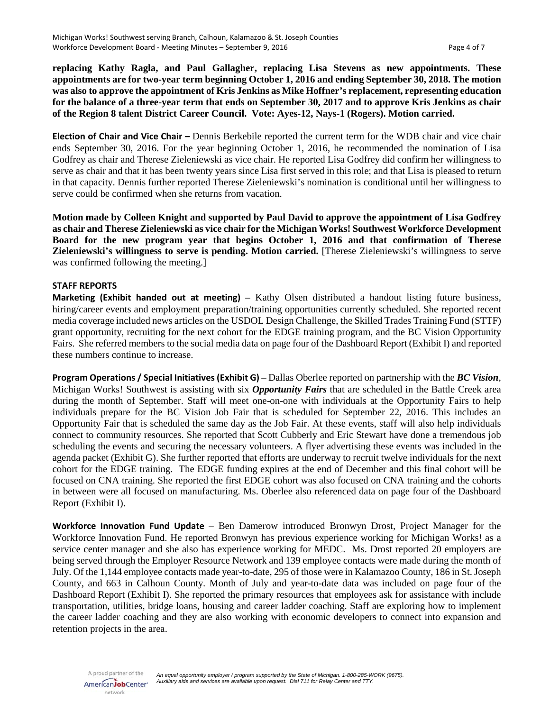**replacing Kathy Ragla, and Paul Gallagher, replacing Lisa Stevens as new appointments. These appointments are for two-year term beginning October 1, 2016 and ending September 30, 2018. The motion was also to approve the appointment of Kris Jenkins as Mike Hoffner's replacement, representing education for the balance of a three-year term that ends on September 30, 2017 and to approve Kris Jenkins as chair of the Region 8 talent District Career Council. Vote: Ayes-12, Nays-1 (Rogers). Motion carried.**

**Election of Chair and Vice Chair –** Dennis Berkebile reported the current term for the WDB chair and vice chair ends September 30, 2016. For the year beginning October 1, 2016, he recommended the nomination of Lisa Godfrey as chair and Therese Zieleniewski as vice chair. He reported Lisa Godfrey did confirm her willingness to serve as chair and that it has been twenty years since Lisa first served in this role; and that Lisa is pleased to return in that capacity. Dennis further reported Therese Zieleniewski's nomination is conditional until her willingness to serve could be confirmed when she returns from vacation.

**Motion made by Colleen Knight and supported by Paul David to approve the appointment of Lisa Godfrey as chair and Therese Zieleniewski as vice chair for the Michigan Works! Southwest Workforce Development Board for the new program year that begins October 1, 2016 and that confirmation of Therese Zieleniewski's willingness to serve is pending. Motion carried.** [Therese Zieleniewski's willingness to serve was confirmed following the meeting.]

#### **STAFF REPORTS**

**Marketing (Exhibit handed out at meeting)** – Kathy Olsen distributed a handout listing future business, hiring/career events and employment preparation/training opportunities currently scheduled. She reported recent media coverage included news articles on the USDOL Design Challenge, the Skilled Trades Training Fund (STTF) grant opportunity, recruiting for the next cohort for the EDGE training program, and the BC Vision Opportunity Fairs. She referred members to the social media data on page four of the Dashboard Report (Exhibit I) and reported these numbers continue to increase.

**Program Operations / Special Initiatives (Exhibit G)** – Dallas Oberlee reported on partnership with the *BC Vision*, Michigan Works! Southwest is assisting with six *Opportunity Fairs* that are scheduled in the Battle Creek area during the month of September. Staff will meet one-on-one with individuals at the Opportunity Fairs to help individuals prepare for the BC Vision Job Fair that is scheduled for September 22, 2016. This includes an Opportunity Fair that is scheduled the same day as the Job Fair. At these events, staff will also help individuals connect to community resources. She reported that Scott Cubberly and Eric Stewart have done a tremendous job scheduling the events and securing the necessary volunteers. A flyer advertising these events was included in the agenda packet (Exhibit G). She further reported that efforts are underway to recruit twelve individuals for the next cohort for the EDGE training. The EDGE funding expires at the end of December and this final cohort will be focused on CNA training. She reported the first EDGE cohort was also focused on CNA training and the cohorts in between were all focused on manufacturing. Ms. Oberlee also referenced data on page four of the Dashboard Report (Exhibit I).

**Workforce Innovation Fund Update** – Ben Damerow introduced Bronwyn Drost, Project Manager for the Workforce Innovation Fund. He reported Bronwyn has previous experience working for Michigan Works! as a service center manager and she also has experience working for MEDC. Ms. Drost reported 20 employers are being served through the Employer Resource Network and 139 employee contacts were made during the month of July. Of the 1,144 employee contacts made year-to-date, 295 of those were in Kalamazoo County, 186 in St. Joseph County, and 663 in Calhoun County. Month of July and year-to-date data was included on page four of the Dashboard Report (Exhibit I). She reported the primary resources that employees ask for assistance with include transportation, utilities, bridge loans, housing and career ladder coaching. Staff are exploring how to implement the career ladder coaching and they are also working with economic developers to connect into expansion and retention projects in the area.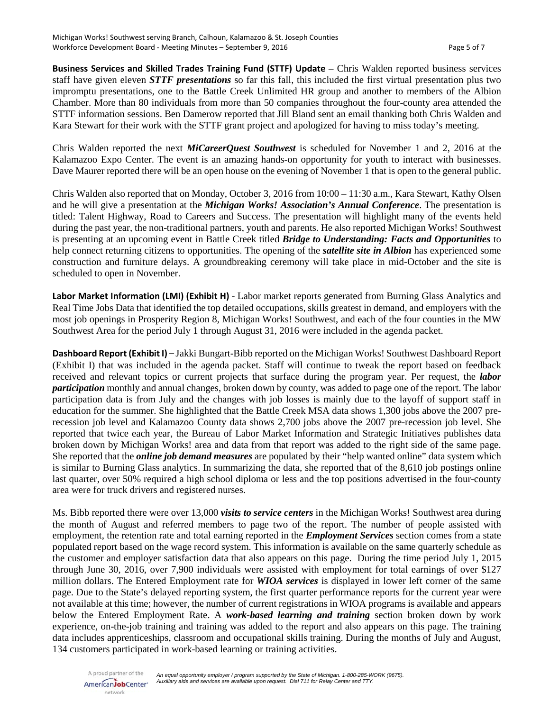**Business Services and Skilled Trades Training Fund (STTF) Update** – Chris Walden reported business services staff have given eleven *STTF presentations* so far this fall, this included the first virtual presentation plus two impromptu presentations, one to the Battle Creek Unlimited HR group and another to members of the Albion Chamber. More than 80 individuals from more than 50 companies throughout the four-county area attended the STTF information sessions. Ben Damerow reported that Jill Bland sent an email thanking both Chris Walden and Kara Stewart for their work with the STTF grant project and apologized for having to miss today's meeting.

Chris Walden reported the next *MiCareerQuest Southwest* is scheduled for November 1 and 2, 2016 at the Kalamazoo Expo Center. The event is an amazing hands-on opportunity for youth to interact with businesses. Dave Maurer reported there will be an open house on the evening of November 1 that is open to the general public.

Chris Walden also reported that on Monday, October 3, 2016 from 10:00 – 11:30 a.m., Kara Stewart, Kathy Olsen and he will give a presentation at the *Michigan Works! Association's Annual Conference*. The presentation is titled: Talent Highway, Road to Careers and Success. The presentation will highlight many of the events held during the past year, the non-traditional partners, youth and parents. He also reported Michigan Works! Southwest is presenting at an upcoming event in Battle Creek titled *Bridge to Understanding: Facts and Opportunities* to help connect returning citizens to opportunities. The opening of the *satellite site in Albion* has experienced some construction and furniture delays. A groundbreaking ceremony will take place in mid-October and the site is scheduled to open in November.

**Labor Market Information (LMI) (Exhibit H)** - Labor market reports generated from Burning Glass Analytics and Real Time Jobs Data that identified the top detailed occupations, skills greatest in demand, and employers with the most job openings in Prosperity Region 8, Michigan Works! Southwest, and each of the four counties in the MW Southwest Area for the period July 1 through August 31, 2016 were included in the agenda packet.

**Dashboard Report (Exhibit I)** – Jakki Bungart-Bibb reported on the Michigan Works! Southwest Dashboard Report (Exhibit I) that was included in the agenda packet. Staff will continue to tweak the report based on feedback received and relevant topics or current projects that surface during the program year. Per request, the *labor participation* monthly and annual changes, broken down by county, was added to page one of the report. The labor participation data is from July and the changes with job losses is mainly due to the layoff of support staff in education for the summer. She highlighted that the Battle Creek MSA data shows 1,300 jobs above the 2007 prerecession job level and Kalamazoo County data shows 2,700 jobs above the 2007 pre-recession job level. She reported that twice each year, the Bureau of Labor Market Information and Strategic Initiatives publishes data broken down by Michigan Works! area and data from that report was added to the right side of the same page. She reported that the *online job demand measures* are populated by their "help wanted online" data system which is similar to Burning Glass analytics. In summarizing the data, she reported that of the 8,610 job postings online last quarter, over 50% required a high school diploma or less and the top positions advertised in the four-county area were for truck drivers and registered nurses.

Ms. Bibb reported there were over 13,000 *visits to service centers* in the Michigan Works! Southwest area during the month of August and referred members to page two of the report. The number of people assisted with employment, the retention rate and total earning reported in the *Employment Services* section comes from a state populated report based on the wage record system. This information is available on the same quarterly schedule as the customer and employer satisfaction data that also appears on this page. During the time period July 1, 2015 through June 30, 2016, over 7,900 individuals were assisted with employment for total earnings of over \$127 million dollars. The Entered Employment rate for *WIOA services* is displayed in lower left corner of the same page. Due to the State's delayed reporting system, the first quarter performance reports for the current year were not available at this time; however, the number of current registrations in WIOA programs is available and appears below the Entered Employment Rate. A *work-based learning and training* section broken down by work experience, on-the-job training and training was added to the report and also appears on this page. The training data includes apprenticeships, classroom and occupational skills training. During the months of July and August, 134 customers participated in work-based learning or training activities.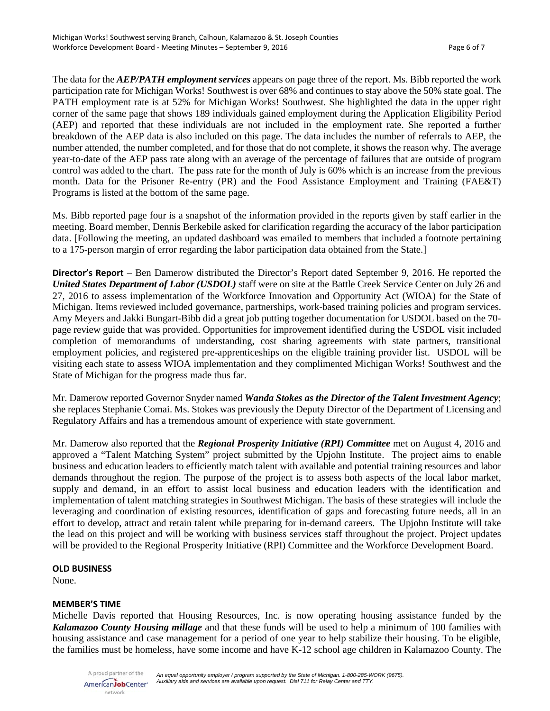The data for the *AEP/PATH employment services* appears on page three of the report. Ms. Bibb reported the work participation rate for Michigan Works! Southwest is over 68% and continues to stay above the 50% state goal. The PATH employment rate is at 52% for Michigan Works! Southwest. She highlighted the data in the upper right corner of the same page that shows 189 individuals gained employment during the Application Eligibility Period (AEP) and reported that these individuals are not included in the employment rate. She reported a further breakdown of the AEP data is also included on this page. The data includes the number of referrals to AEP, the number attended, the number completed, and for those that do not complete, it shows the reason why. The average year-to-date of the AEP pass rate along with an average of the percentage of failures that are outside of program control was added to the chart. The pass rate for the month of July is 60% which is an increase from the previous month. Data for the Prisoner Re-entry (PR) and the Food Assistance Employment and Training (FAE&T) Programs is listed at the bottom of the same page.

Ms. Bibb reported page four is a snapshot of the information provided in the reports given by staff earlier in the meeting. Board member, Dennis Berkebile asked for clarification regarding the accuracy of the labor participation data. [Following the meeting, an updated dashboard was emailed to members that included a footnote pertaining to a 175-person margin of error regarding the labor participation data obtained from the State.]

**Director's Report** – Ben Damerow distributed the Director's Report dated September 9, 2016. He reported the *United States Department of Labor (USDOL)* staff were on site at the Battle Creek Service Center on July 26 and 27, 2016 to assess implementation of the Workforce Innovation and Opportunity Act (WIOA) for the State of Michigan. Items reviewed included governance, partnerships, work-based training policies and program services. Amy Meyers and Jakki Bungart-Bibb did a great job putting together documentation for USDOL based on the 70 page review guide that was provided. Opportunities for improvement identified during the USDOL visit included completion of memorandums of understanding, cost sharing agreements with state partners, transitional employment policies, and registered pre-apprenticeships on the eligible training provider list. USDOL will be visiting each state to assess WIOA implementation and they complimented Michigan Works! Southwest and the State of Michigan for the progress made thus far.

Mr. Damerow reported Governor Snyder named *Wanda Stokes as the Director of the Talent Investment Agency*; she replaces Stephanie Comai. Ms. Stokes was previously the Deputy Director of the Department of Licensing and Regulatory Affairs and has a tremendous amount of experience with state government.

Mr. Damerow also reported that the *Regional Prosperity Initiative (RPI) Committee* met on August 4, 2016 and approved a "Talent Matching System" project submitted by the Upjohn Institute. The project aims to enable business and education leaders to efficiently match talent with available and potential training resources and labor demands throughout the region. The purpose of the project is to assess both aspects of the local labor market, supply and demand, in an effort to assist local business and education leaders with the identification and implementation of talent matching strategies in Southwest Michigan. The basis of these strategies will include the leveraging and coordination of existing resources, identification of gaps and forecasting future needs, all in an effort to develop, attract and retain talent while preparing for in-demand careers. The Upjohn Institute will take the lead on this project and will be working with business services staff throughout the project. Project updates will be provided to the Regional Prosperity Initiative (RPI) Committee and the Workforce Development Board.

### **OLD BUSINESS**

None.

### **MEMBER'S TIME**

Michelle Davis reported that Housing Resources, Inc. is now operating housing assistance funded by the *Kalamazoo County Housing millage* and that these funds will be used to help a minimum of 100 families with housing assistance and case management for a period of one year to help stabilize their housing. To be eligible, the families must be homeless, have some income and have K-12 school age children in Kalamazoo County. The

A proud partner of the *An equal opportunity employer / program supported by the State of Michigan. 1-800-285-WORK (9675). Auxiliary aids and services are available upon request. Dial 711 for Relay Center and TTY.* AmericanJobCenter\* network